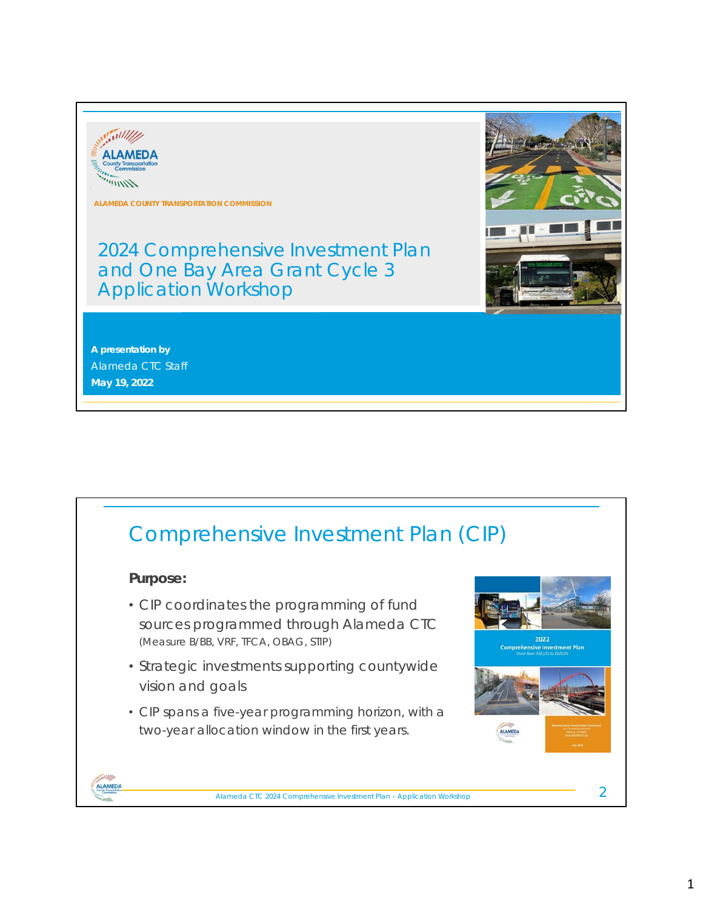

**ALAMEDA COUNTY TRANSPORTATION COMMISSION**

2024 Comprehensive Investment Plan and One Bay Area Grant Cycle 3 Application Workshop

**A presentation by** Alameda CTC Staff **May 19, 2022**



Alameda CTC 2024 Comprehensive Investment Plan – Application Workshop 1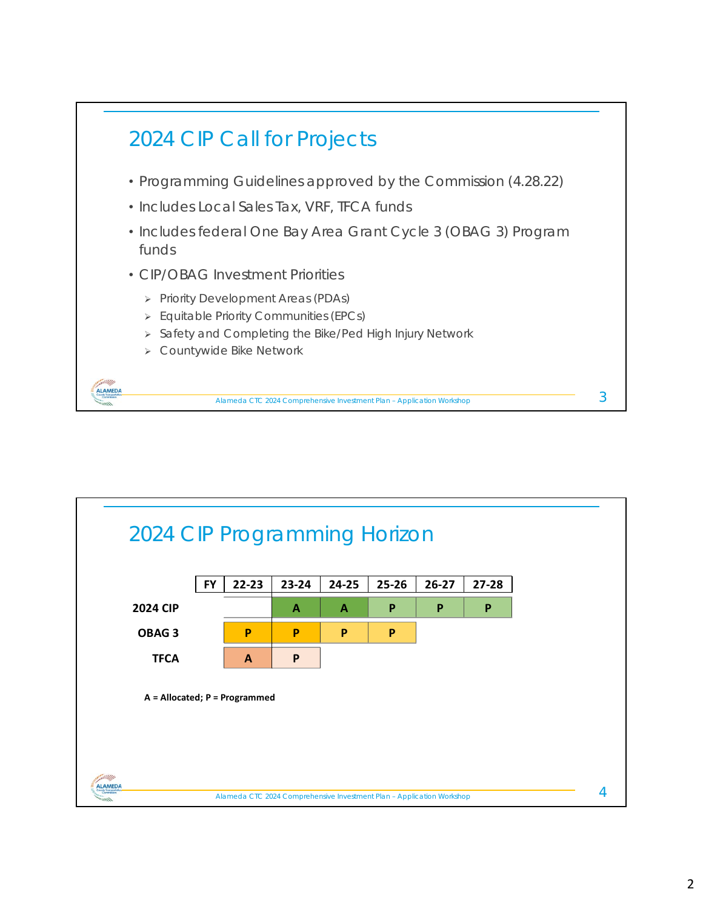

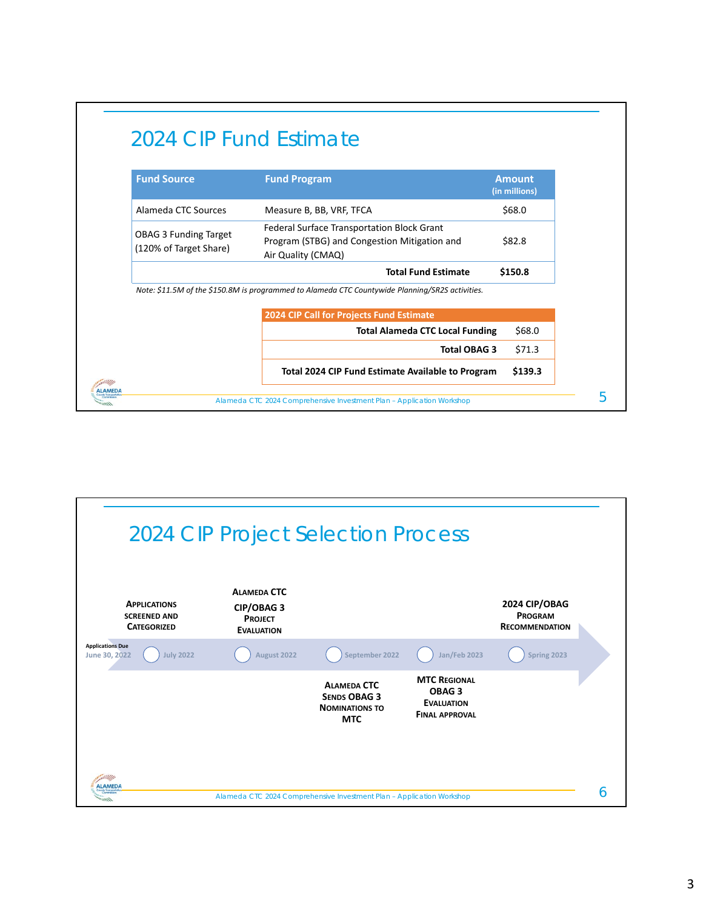| <b>Fund Source</b>                                     | <b>Fund Program</b>                                                                                              | <b>Amount</b><br>(in millions) |  |  |
|--------------------------------------------------------|------------------------------------------------------------------------------------------------------------------|--------------------------------|--|--|
| Alameda CTC Sources                                    | Measure B, BB, VRF, TFCA                                                                                         | \$68.0                         |  |  |
| <b>OBAG 3 Funding Target</b><br>(120% of Target Share) | Federal Surface Transportation Block Grant<br>Program (STBG) and Congestion Mitigation and<br>Air Quality (CMAQ) | \$82.8                         |  |  |
|                                                        | <b>Total Fund Estimate</b>                                                                                       | \$150.8                        |  |  |
|                                                        | Note: \$11.5M of the \$150.8M is programmed to Alameda CTC Countywide Planning/SR2S activities.                  |                                |  |  |
|                                                        | 2024 CIP Call for Projects Fund Estimate<br><b>Total Alameda CTC Local Funding</b>                               | \$68.0                         |  |  |
|                                                        | <b>Total OBAG 3</b>                                                                                              | \$71.3                         |  |  |
|                                                        |                                                                                                                  |                                |  |  |

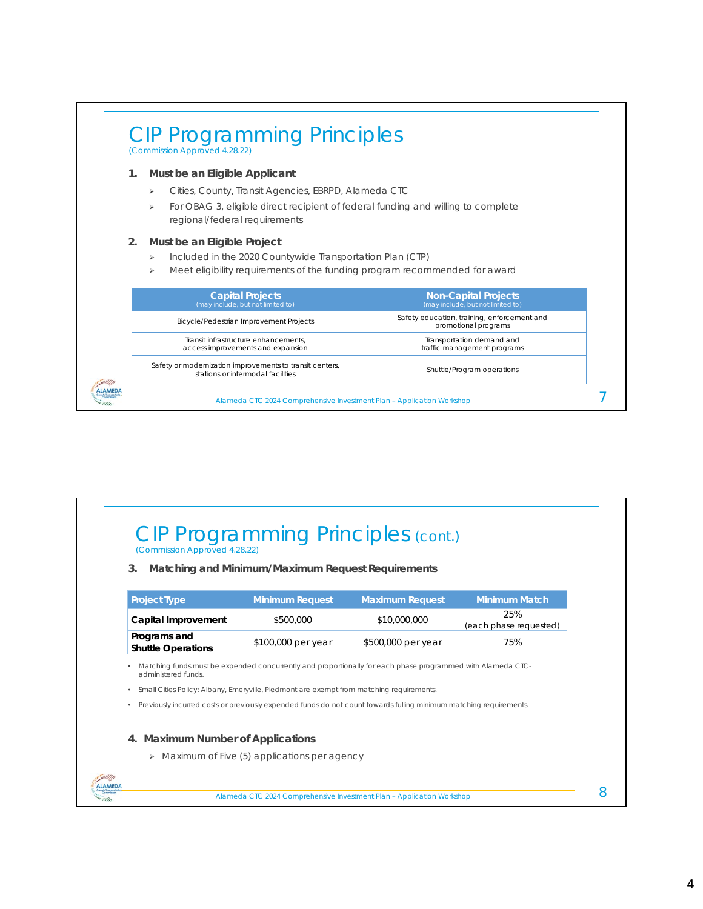

### CIP Programming Principles (cont.) (Commission Approved 4.28.22)

#### **3. Matching and Minimum/Maximum Request Requirements**

| <b>Project Type</b>                       | <b>Minimum Request</b> | <b>Maximum Request</b> | <b>Minimum Match</b>          |
|-------------------------------------------|------------------------|------------------------|-------------------------------|
| Capital Improvement                       | \$500,000              | \$10,000,000           | 25%<br>(each phase requested) |
| Programs and<br><b>Shuttle Operations</b> | \$100,000 per year     | \$500,000 per year     | 75%                           |

• Matching funds must be expended concurrently and proportionally for each phase programmed with Alameda CTCadministered funds.

• Small Cities Policy: Albany, Emeryville, Piedmont are exempt from matching requirements.

• Previously incurred costs or previously expended funds do not count towards fulling minimum matching requirements.

#### **4. Maximum Number of Applications**

ALAMEDA

> Maximum of Five (5) applications per agency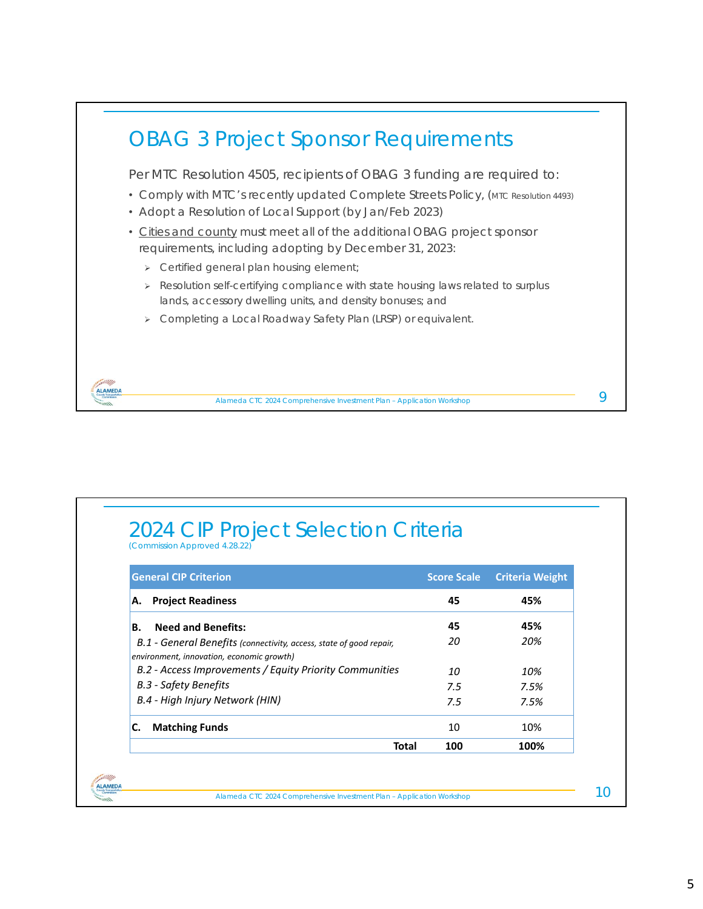

## 2024 CIP Project Selection Criteria (Commission Approved 4.28.22)

ALAMEDA

| <b>General CIP Criterion</b>                                                                                     | <b>Score Scale</b> | <b>Criteria Weight</b> |
|------------------------------------------------------------------------------------------------------------------|--------------------|------------------------|
| <b>Project Readiness</b><br>А.                                                                                   | 45                 | 45%                    |
| <b>Need and Benefits:</b><br>В.                                                                                  | 45                 | 45%                    |
| B.1 - General Benefits (connectivity, access, state of good repair,<br>environment, innovation, economic growth) | 20                 | 20%                    |
| B.2 - Access Improvements / Equity Priority Communities                                                          | 10                 | 10%                    |
| B.3 - Safety Benefits                                                                                            | 7.5                | 7.5%                   |
| B.4 - High Injury Network (HIN)                                                                                  | 7.5                | 7.5%                   |
| <b>Matching Funds</b><br>С.                                                                                      | 10                 | 10%                    |
| Total                                                                                                            | 100                | 100%                   |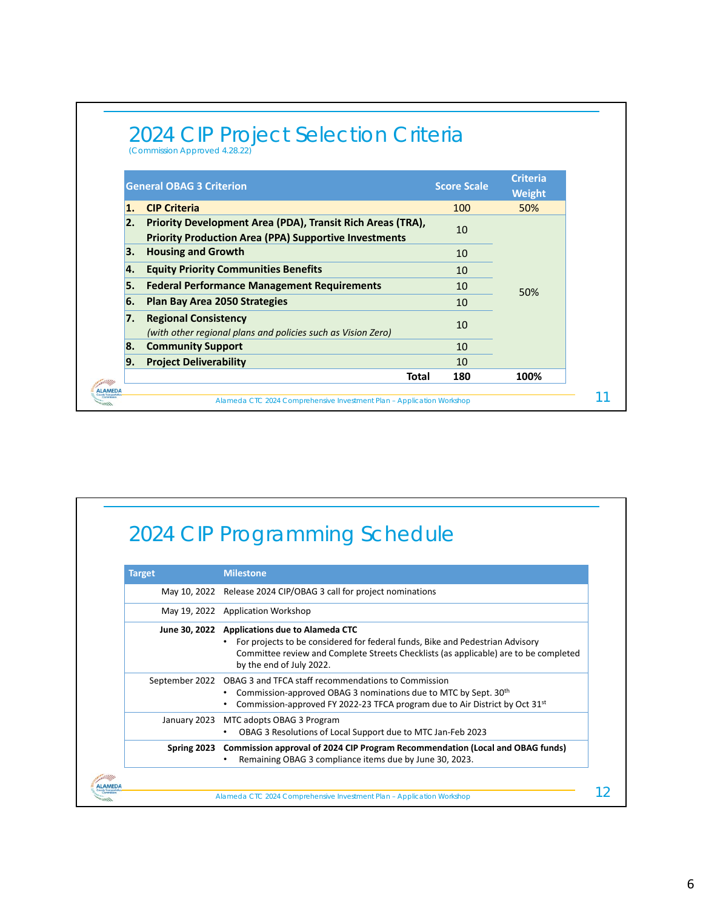|                  | <b>General OBAG 3 Criterion</b>                                                                                            | <b>Score Scale</b> | <b>Criteria</b><br><b>Weight</b> |
|------------------|----------------------------------------------------------------------------------------------------------------------------|--------------------|----------------------------------|
| $\mathbf{1}$ .   | <b>CIP Criteria</b>                                                                                                        | 100                | 50%                              |
| $\overline{2}$ . | Priority Development Area (PDA), Transit Rich Areas (TRA),<br><b>Priority Production Area (PPA) Supportive Investments</b> | 10                 |                                  |
| З.               | <b>Housing and Growth</b>                                                                                                  | 10                 |                                  |
| 4.               | <b>Equity Priority Communities Benefits</b>                                                                                | 10                 |                                  |
| 5.               | <b>Federal Performance Management Requirements</b>                                                                         | 10                 | 50%                              |
| 6.               | <b>Plan Bay Area 2050 Strategies</b>                                                                                       | 10                 |                                  |
| 7.               | <b>Regional Consistency</b><br>(with other regional plans and policies such as Vision Zero)                                | 10                 |                                  |
| 8.               | <b>Community Support</b>                                                                                                   | 10                 |                                  |
| 9.               | <b>Project Deliverability</b>                                                                                              | 10                 |                                  |
|                  | Total                                                                                                                      | 180                | 100%                             |

# 2024 CIP Programming Schedule

| <b>Milestone</b>                                                                                                                                                                                                                                   |
|----------------------------------------------------------------------------------------------------------------------------------------------------------------------------------------------------------------------------------------------------|
| May 10, 2022 Release 2024 CIP/OBAG 3 call for project nominations                                                                                                                                                                                  |
| May 19, 2022 Application Workshop                                                                                                                                                                                                                  |
| June 30, 2022 Applications due to Alameda CTC<br>For projects to be considered for federal funds, Bike and Pedestrian Advisory<br>Committee review and Complete Streets Checklists (as applicable) are to be completed<br>by the end of July 2022. |
| September 2022 OBAG 3 and TFCA staff recommendations to Commission<br>Commission-approved OBAG 3 nominations due to MTC by Sept. 30th<br>Commission-approved FY 2022-23 TFCA program due to Air District by Oct 31st                               |
| MTC adopts OBAG 3 Program<br>January 2023<br>OBAG 3 Resolutions of Local Support due to MTC Jan-Feb 2023                                                                                                                                           |
| Spring 2023 Commission approval of 2024 CIP Program Recommendation (Local and OBAG funds)<br>Remaining OBAG 3 compliance items due by June 30, 2023.                                                                                               |
|                                                                                                                                                                                                                                                    |
|                                                                                                                                                                                                                                                    |